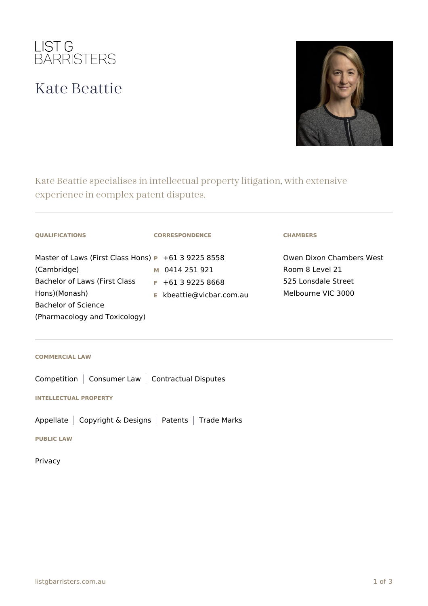

## Kate Beattie



Kate Beattie specialises in intellectual property litigation, with extensive experience in complex patent disputes.

| <b>OUALIFICATIONS</b>                                          | <b>CORRESPONDENCE</b>    | <b>CHAMBERS</b>          |
|----------------------------------------------------------------|--------------------------|--------------------------|
| Master of Laws (First Class Hons) $\mathbf{P}$ +61 3 9225 8558 |                          | Owen Dixon Chambers West |
| (Cambridge)                                                    | M 0414 251 921           | Room 8 Level 21          |
| Bachelor of Laws (First Class                                  | $F$ +61 3 9225 8668      | 525 Lonsdale Street      |
| Hons)(Monash)                                                  | E kbeattie@vicbar.com.au | Melbourne VIC 3000       |
| Bachelor of Science                                            |                          |                          |
| (Pharmacology and Toxicology)                                  |                          |                          |

## **COMMERCIAL LAW**

Competition | Consumer Law | Contractual Disputes

**INTELLECTUAL PROPERTY**

Appellate | Copyright & Designs | Patents | Trade Marks

**PUBLIC LAW**

Privacy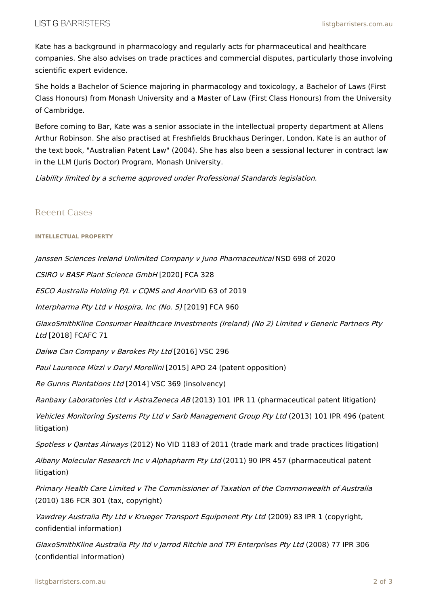Kate has a background in pharmacology and regularly acts for pharmaceutical and healthcare companies. She also advises on trade practices and commercial disputes, particularly those involving scientific expert evidence.

She holds a Bachelor of Science majoring in pharmacology and toxicology, a Bachelor of Laws (First Class Honours) from Monash University and a Master of Law (First Class Honours) from the University of Cambridge.

Before coming to Bar, Kate was a senior associate in the intellectual property department at Allens Arthur Robinson. She also practised at Freshfields Bruckhaus Deringer, London. Kate is an author of the text book, "Australian Patent Law" (2004). She has also been a sessional lecturer in contract law in the LLM (Juris Doctor) Program, Monash University.

Liability limited by <sup>a</sup> scheme approved under Professional Standards legislation.

## Recent Cases

## **INTELLECTUAL PROPERTY**

Janssen Sciences Ireland Unlimited Company <sup>v</sup> Juno Pharmaceutical NSD 698 of 2020

CSIRO <sup>v</sup> BASF Plant Science GmbH [2020] FCA 328

ESCO Australia Holding P/L <sup>v</sup> CQMS and Anor VID 63 of 2019

Interpharma Pty Ltd <sup>v</sup> Hospira, Inc (No. 5) [2019] FCA 960

GlaxoSmithKline Consumer Healthcare Investments (Ireland) (No 2) Limited <sup>v</sup> Generic Partners Pty Ltd [2018] FCAFC 71

Daiwa Can Company <sup>v</sup> Barokes Pty Ltd [2016] VSC 296

Paul Laurence Mizzi <sup>v</sup> Daryl Morellini [2015] APO 24 (patent opposition)

Re Gunns Plantations Ltd [2014] VSC 369 (insolvency)

Ranbaxy Laboratories Ltd v AstraZeneca AB (2013) 101 IPR 11 (pharmaceutical patent litigation)

Vehicles Monitoring Systems Pty Ltd <sup>v</sup> Sarb Management Group Pty Ltd (2013) 101 IPR 496 (patent litigation)

Spotless v Qantas Airways (2012) No VID 1183 of 2011 (trade mark and trade practices litigation)

Albany Molecular Research Inc v Alphapharm Pty Ltd (2011) 90 IPR 457 (pharmaceutical patent litigation)

Primary Health Care Limited <sup>v</sup> The Commissioner of Taxation of the Commonwealth of Australia (2010) 186 FCR 301 (tax, copyright)

Vawdrey Australia Pty Ltd y Krueger Transport Equipment Pty Ltd (2009) 83 IPR 1 (copyright, confidential information)

GlaxoSmithKline Australia Pty ltd <sup>v</sup> Jarrod Ritchie and TPI Enterprises Pty Ltd (2008) 77 IPR 306 (confidential information)